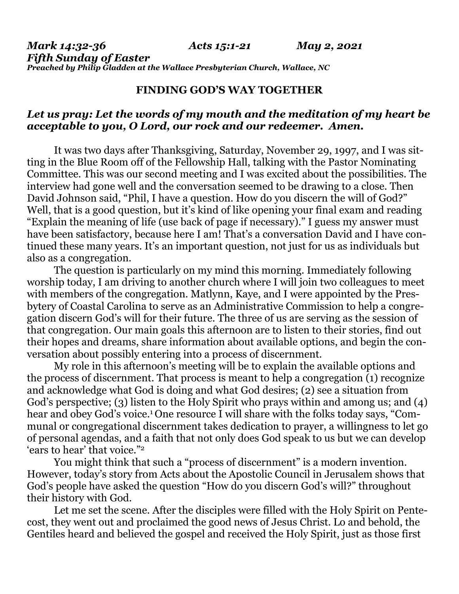## **FINDING GOD'S WAY TOGETHER**

## *Let us pray: Let the words of my mouth and the meditation of my heart be acceptable to you, O Lord, our rock and our redeemer. Amen.*

It was two days after Thanksgiving, Saturday, November 29, 1997, and I was sitting in the Blue Room off of the Fellowship Hall, talking with the Pastor Nominating Committee. This was our second meeting and I was excited about the possibilities. The interview had gone well and the conversation seemed to be drawing to a close. Then David Johnson said, "Phil, I have a question. How do you discern the will of God?" Well, that is a good question, but it's kind of like opening your final exam and reading "Explain the meaning of life (use back of page if necessary)." I guess my answer must have been satisfactory, because here I am! That's a conversation David and I have continued these many years. It's an important question, not just for us as individuals but also as a congregation.

 The question is particularly on my mind this morning. Immediately following worship today, I am driving to another church where I will join two colleagues to meet with members of the congregation. Matlynn, Kaye, and I were appointed by the Presbytery of Coastal Carolina to serve as an Administrative Commission to help a congregation discern God's will for their future. The three of us are serving as the session of that congregation. Our main goals this afternoon are to listen to their stories, find out their hopes and dreams, share information about available options, and begin the conversation about possibly entering into a process of discernment.

 My role in this afternoon's meeting will be to explain the available options and the process of discernment. That process is meant to help a congregation (1) recognize and acknowledge what God is doing and what God desires; (2) see a situation from God's perspective; (3) listen to the Holy Spirit who prays within and among us; and (4) hear and obey God's voice.<sup>1</sup> One resource I will share with the folks today says, "Communal or congregational discernment takes dedication to prayer, a willingness to let go of personal agendas, and a faith that not only does God speak to us but we can develop 'ears to hear' that voice."2

You might think that such a "process of discernment" is a modern invention. However, today's story from Acts about the Apostolic Council in Jerusalem shows that God's people have asked the question "How do you discern God's will?" throughout their history with God.

 Let me set the scene. After the disciples were filled with the Holy Spirit on Pentecost, they went out and proclaimed the good news of Jesus Christ. Lo and behold, the Gentiles heard and believed the gospel and received the Holy Spirit, just as those first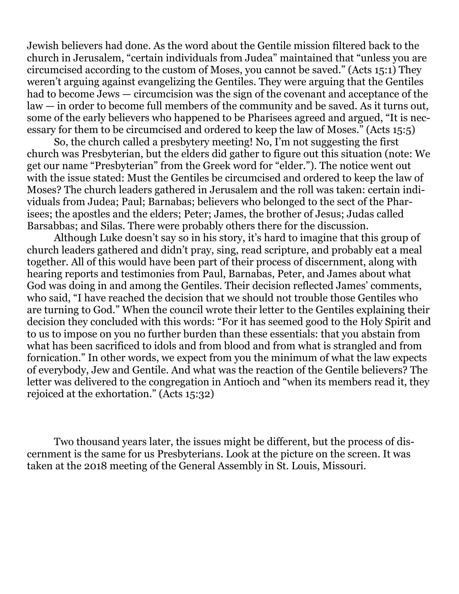Jewish believers had done. As the word about the Gentile mission filtered back to the church in Jerusalem, "certain individuals from Judea" maintained that "unless you are circumcised according to the custom of Moses, you cannot be saved." (Acts 15:1) They weren't arguing against evangelizing the Gentiles. They were arguing that the Gentiles had to become Jews — circumcision was the sign of the covenant and acceptance of the law — in order to become full members of the community and be saved. As it turns out, some of the early believers who happened to be Pharisees agreed and argued, "It is necessary for them to be circumcised and ordered to keep the law of Moses." (Acts 15:5)

 So, the church called a presbytery meeting! No, I'm not suggesting the first church was Presbyterian, but the elders did gather to figure out this situation (note: We get our name "Presbyterian" from the Greek word for "elder."). The notice went out with the issue stated: Must the Gentiles be circumcised and ordered to keep the law of Moses? The church leaders gathered in Jerusalem and the roll was taken: certain individuals from Judea; Paul; Barnabas; believers who belonged to the sect of the Pharisees; the apostles and the elders; Peter; James, the brother of Jesus; Judas called Barsabbas; and Silas. There were probably others there for the discussion.

 Although Luke doesn't say so in his story, it's hard to imagine that this group of church leaders gathered and didn't pray, sing, read scripture, and probably eat a meal together. All of this would have been part of their process of discernment, along with hearing reports and testimonies from Paul, Barnabas, Peter, and James about what God was doing in and among the Gentiles. Their decision reflected James' comments, who said, "I have reached the decision that we should not trouble those Gentiles who are turning to God." When the council wrote their letter to the Gentiles explaining their decision they concluded with this words: "For it has seemed good to the Holy Spirit and to us to impose on you no further burden than these essentials: that you abstain from what has been sacrificed to idols and from blood and from what is strangled and from fornication." In other words, we expect from you the minimum of what the law expects of everybody, Jew and Gentile. And what was the reaction of the Gentile believers? The letter was delivered to the congregation in Antioch and "when its members read it, they rejoiced at the exhortation." (Acts 15:32)

 Two thousand years later, the issues might be different, but the process of discernment is the same for us Presbyterians. Look at the picture on the screen. It was taken at the 2018 meeting of the General Assembly in St. Louis, Missouri.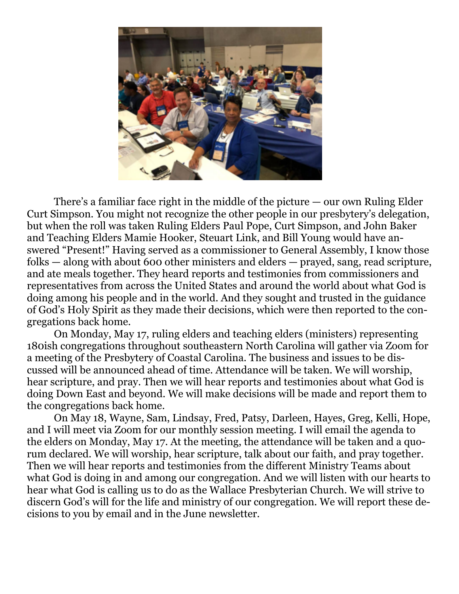

There's a familiar face right in the middle of the picture — our own Ruling Elder Curt Simpson. You might not recognize the other people in our presbytery's delegation, but when the roll was taken Ruling Elders Paul Pope, Curt Simpson, and John Baker and Teaching Elders Mamie Hooker, Steuart Link, and Bill Young would have answered "Present!" Having served as a commissioner to General Assembly, I know those folks — along with about 600 other ministers and elders — prayed, sang, read scripture, and ate meals together. They heard reports and testimonies from commissioners and representatives from across the United States and around the world about what God is doing among his people and in the world. And they sought and trusted in the guidance of God's Holy Spirit as they made their decisions, which were then reported to the congregations back home.

 On Monday, May 17, ruling elders and teaching elders (ministers) representing 180ish congregations throughout southeastern North Carolina will gather via Zoom for a meeting of the Presbytery of Coastal Carolina. The business and issues to be discussed will be announced ahead of time. Attendance will be taken. We will worship, hear scripture, and pray. Then we will hear reports and testimonies about what God is doing Down East and beyond. We will make decisions will be made and report them to the congregations back home.

 On May 18, Wayne, Sam, Lindsay, Fred, Patsy, Darleen, Hayes, Greg, Kelli, Hope, and I will meet via Zoom for our monthly session meeting. I will email the agenda to the elders on Monday, May 17. At the meeting, the attendance will be taken and a quorum declared. We will worship, hear scripture, talk about our faith, and pray together. Then we will hear reports and testimonies from the different Ministry Teams about what God is doing in and among our congregation. And we will listen with our hearts to hear what God is calling us to do as the Wallace Presbyterian Church. We will strive to discern God's will for the life and ministry of our congregation. We will report these decisions to you by email and in the June newsletter.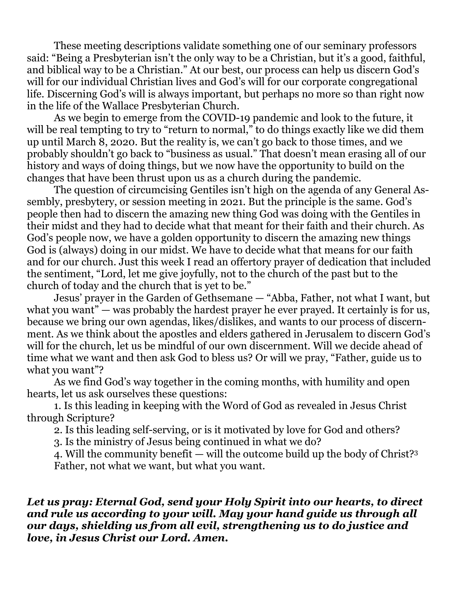These meeting descriptions validate something one of our seminary professors said: "Being a Presbyterian isn't the only way to be a Christian, but it's a good, faithful, and biblical way to be a Christian." At our best, our process can help us discern God's will for our individual Christian lives and God's will for our corporate congregational life. Discerning God's will is always important, but perhaps no more so than right now in the life of the Wallace Presbyterian Church.

 As we begin to emerge from the COVID-19 pandemic and look to the future, it will be real tempting to try to "return to normal," to do things exactly like we did them up until March 8, 2020. But the reality is, we can't go back to those times, and we probably shouldn't go back to "business as usual." That doesn't mean erasing all of our history and ways of doing things, but we now have the opportunity to build on the changes that have been thrust upon us as a church during the pandemic.

 The question of circumcising Gentiles isn't high on the agenda of any General Assembly, presbytery, or session meeting in 2021. But the principle is the same. God's people then had to discern the amazing new thing God was doing with the Gentiles in their midst and they had to decide what that meant for their faith and their church. As God's people now, we have a golden opportunity to discern the amazing new things God is (always) doing in our midst. We have to decide what that means for our faith and for our church. Just this week I read an offertory prayer of dedication that included the sentiment, "Lord, let me give joyfully, not to the church of the past but to the church of today and the church that is yet to be."

 Jesus' prayer in the Garden of Gethsemane — "Abba, Father, not what I want, but what you want" — was probably the hardest prayer he ever prayed. It certainly is for us, because we bring our own agendas, likes/dislikes, and wants to our process of discernment. As we think about the apostles and elders gathered in Jerusalem to discern God's will for the church, let us be mindful of our own discernment. Will we decide ahead of time what we want and then ask God to bless us? Or will we pray, "Father, guide us to what you want"?

 As we find God's way together in the coming months, with humility and open hearts, let us ask ourselves these questions:

 1. Is this leading in keeping with the Word of God as revealed in Jesus Christ through Scripture?

2. Is this leading self-serving, or is it motivated by love for God and others?

3. Is the ministry of Jesus being continued in what we do?

 4. Will the community benefit — will the outcome build up the body of Christ?3 Father, not what we want, but what you want.

## *Let us pray: Eternal God, send your Holy Spirit into our hearts, to direct and rule us according to your will. May your hand guide us through all our days, shielding us from all evil, strengthening us to do justice and love, in Jesus Christ our Lord. Amen.*